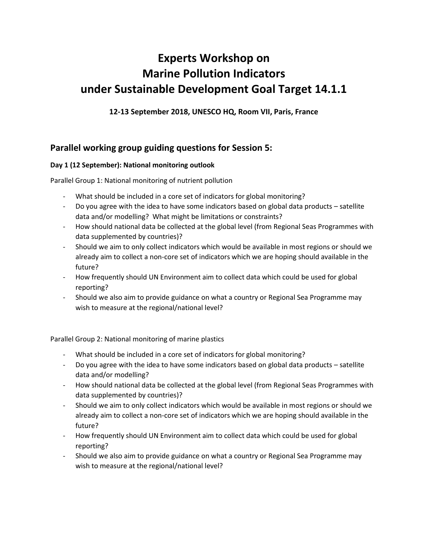# **Experts Workshop on Marine Pollution Indicators under Sustainable Development Goal Target 14.1.1**

**12-13 September 2018, UNESCO HQ, Room VII, Paris, France**

# **Parallel working group guiding questions for Session 5:**

## **Day 1 (12 September): National monitoring outlook**

Parallel Group 1: National monitoring of nutrient pollution

- What should be included in a core set of indicators for global monitoring?
- Do you agree with the idea to have some indicators based on global data products satellite data and/or modelling? What might be limitations or constraints?
- How should national data be collected at the global level (from Regional Seas Programmes with data supplemented by countries)?
- Should we aim to only collect indicators which would be available in most regions or should we already aim to collect a non-core set of indicators which we are hoping should available in the future?
- How frequently should UN Environment aim to collect data which could be used for global reporting?
- Should we also aim to provide guidance on what a country or Regional Sea Programme may wish to measure at the regional/national level?

Parallel Group 2: National monitoring of marine plastics

- What should be included in a core set of indicators for global monitoring?
- Do you agree with the idea to have some indicators based on global data products satellite data and/or modelling?
- How should national data be collected at the global level (from Regional Seas Programmes with data supplemented by countries)?
- Should we aim to only collect indicators which would be available in most regions or should we already aim to collect a non-core set of indicators which we are hoping should available in the future?
- How frequently should UN Environment aim to collect data which could be used for global reporting?
- Should we also aim to provide guidance on what a country or Regional Sea Programme may wish to measure at the regional/national level?